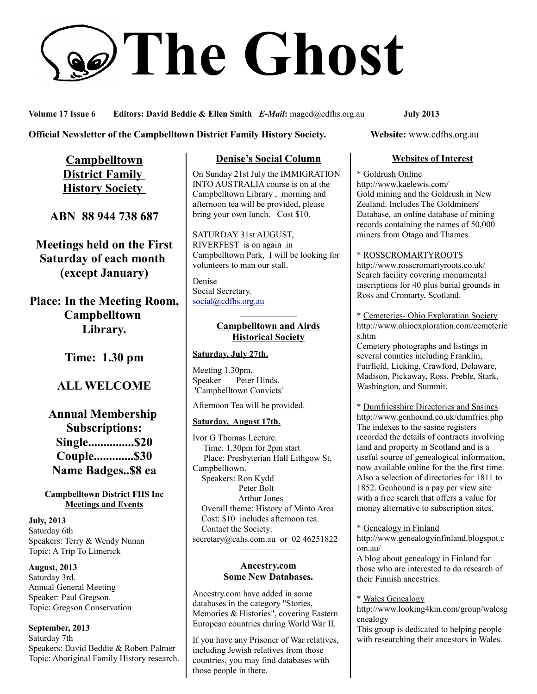# **The Ghost**

**Volume 17 Issue 6 Editors: David Beddie & Ellen Smith** *E-Mail***:** maged@cdfhs.org.au **July 2013**

# **Official Newsletter of the Campbelltown District Family History Society. Website: www.cdfhs.org.au**

**Campbelltown District Family History Society** 

**ABN 88 944 738 687**

**Meetings held on the First Saturday of each month (except January)**

**Place: In the Meeting Room, Campbelltown Library.**

**Time: 1.30 pm**

# **ALL WELCOME**

**Annual Membership Subscriptions: Single...............\$20 Couple.............\$30 Name Badges..\$8 ea**

**Campbelltown District FHS Inc Meetings and Events**

**July, 2013** Saturday 6th Speakers: Terry & Wendy Nunan Topic: A Trip To Limerick

**August, 2013** Saturday 3rd. Annual General Meeting Speaker: Paul Gregson. Topic: Gregson Conservation

**September, 2013** Saturday 7th Speakers: David Beddie & Robert Palmer Topic: Aboriginal Family History research.

# **Denise's Social Column**

On Sunday 21st July the IMMIGRATION INTO AUSTRALIA course is on at the Campbelltown Library , morning and afternoon tea will be provided, please bring your own lunch. Cost \$10.

SATURDAY 31st AUGUST, RIVERFEST is on again in Campbelltown Park, I will be looking for volunteers to man our stall.

Denise Social Secretary. [social@cdfhs.org.au](mailto:social@cdfhs.org.au)

# ——————– **Campbelltown and Airds Historical Society**

# **Saturday, July 27th.**

Meeting 1.30pm. Speaker – Peter Hinds. 'Campbelltown Convicts'

Afternoon Tea will be provided.

# **Saturday, August 17th.**

Ivor G Thomas Lecture. Time: 1.30pm for 2pm start Place: Presbyterian Hall Lithgow St, Campbelltown. Speakers: Ron Kydd Peter Bolt Arthur Jones Overall theme: History of Minto Area Cost: \$10 includes afternoon tea. Contact the Society: secretary@cahs.com.au or 02 46251822

#### **Ancestry.com Some New Databases.**

——————–

Ancestry.com have added in some databases in the category "Stories, Memories & Histories", covering Eastern European countries during World War II.

If you have any Prisoner of War relatives, including Jewish relatives from those countries, you may find databases with those people in there.

# **Websites of Interest**

\* Goldrush Online http://www.kaelewis.com/ Gold mining and the Goldrush in New Zealand. Includes The Goldminers' Database, an online database of mining records containing the names of 50,000 miners from Otago and Thames.

# \* ROSSCROMARTYROOTS

http://www.rosscromartyroots.co.uk/ Search facility covering monumental inscriptions for 40 plus burial grounds in Ross and Cromarty, Scotland.

\* Cemeteries- Ohio Exploration Society http://www.ohioexploration.com/cemeterie s.htm

Cemetery photographs and listings in several counties including Franklin, Fairfield, Licking, Crawford, Delaware, Madison, Pickaway, Ross, Preble, Stark, Washington, and Summit.

\* Dumfriesshire Directories and Sasines http://www.genhound.co.uk/dumfries.php The indexes to the sasine registers recorded the details of contracts involving land and property in Scotland and is a useful source of genealogical information, now available online for the the first time. Also a selection of directories for 1811 to 1852. Genhound is a pay per view site with a free search that offers a value for money alternative to subscription sites.

#### \* Genealogy in Finland

http://www.genealogyinfinland.blogspot.c om.au/

A blog about genealogy in Finland for those who are interested to do research of their Finnish ancestries.

#### \* Wales Genealogy

http://www.looking4kin.com/group/walesg enealogy

This group is dedicated to helping people with researching their ancestors in Wales.